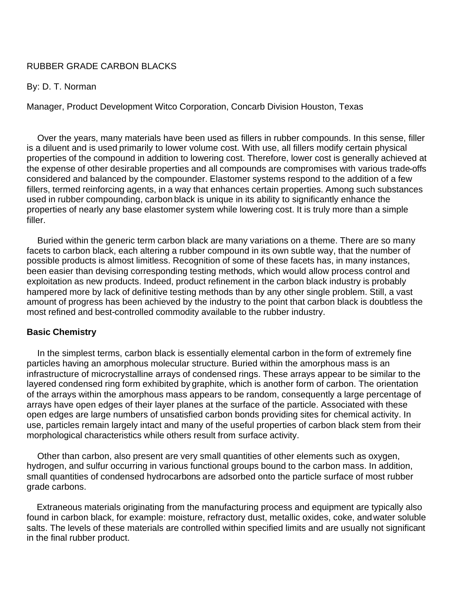# RUBBER GRADE CARBON BLACKS

## By: D. T. Norman

Manager, Product Development Witco Corporation, Concarb Division Houston, Texas

Over the years, many materials have been used as fillers in rubber compounds. In this sense, filler is a diluent and is used primarily to lower volume cost. With use, all fillers modify certain physical properties of the compound in addition to lowering cost. Therefore, lower cost is generally achieved at the expense of other desirable properties and all compounds are compromises with various trade-offs considered and balanced by the compounder. Elastomer systems respond to the addition of a few fillers, termed reinforcing agents, in a way that enhances certain properties. Among such substances used in rubber compounding, carbon black is unique in its ability to significantly enhance the properties of nearly any base elastomer system while lowering cost. It is truly more than a simple filler.

Buried within the generic term carbon black are many variations on a theme. There are so many facets to carbon black, each altering a rubber compound in its own subtle way, that the number of possible products is almost limitless. Recognition of some of these facets has, in many instances, been easier than devising corresponding testing methods, which would allow process control and exploitation as new products. Indeed, product refinement in the carbon black industry is probably hampered more by lack of definitive testing methods than by any other single problem. Still, a vast amount of progress has been achieved by the industry to the point that carbon black is doubtless the most refined and best-controlled commodity available to the rubber industry.

## **Basic Chemistry**

In the simplest terms, carbon black is essentially elemental carbon in the form of extremely fine particles having an amorphous molecular structure. Buried within the amorphous mass is an infrastructure of microcrystalline arrays of condensed rings. These arrays appear to be similar to the layered condensed ring form exhibited by graphite, which is another form of carbon. The orientation of the arrays within the amorphous mass appears to be random, consequently a large percentage of arrays have open edges of their layer planes at the surface of the particle. Associated with these open edges are large numbers of unsatisfied carbon bonds providing sites for chemical activity. In use, particles remain largely intact and many of the useful properties of carbon black stem from their morphological characteristics while others result from surface activity.

Other than carbon, also present are very small quantities of other elements such as oxygen, hydrogen, and sulfur occurring in various functional groups bound to the carbon mass. In addition, small quantities of condensed hydrocarbons are adsorbed onto the particle surface of most rubber grade carbons.

Extraneous materials originating from the manufacturing process and equipment are typically also found in carbon black, for example: moisture, refractory dust, metallic oxides, coke, and water soluble salts. The levels of these materials are controlled within specified limits and are usually not significant in the final rubber product.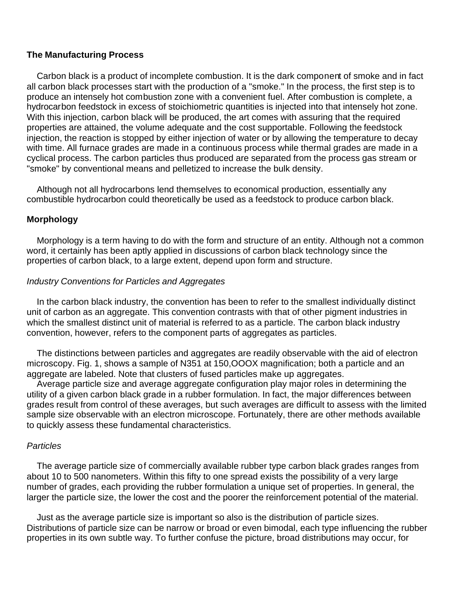## **The Manufacturing Process**

Carbon black is a product of incomplete combustion. It is the dark component of smoke and in fact all carbon black processes start with the production of a "smoke." In the process, the first step is to produce an intensely hot combustion zone with a convenient fuel. After combustion is complete, a hydrocarbon feedstock in excess of stoichiometric quantities is injected into that intensely hot zone. With this injection, carbon black will be produced, the art comes with assuring that the required properties are attained, the volume adequate and the cost supportable. Following the feedstock injection, the reaction is stopped by either injection of water or by allowing the temperature to decay with time. All furnace grades are made in a continuous process while thermal grades are made in a cyclical process. The carbon particles thus produced are separated from the process gas stream or "smoke" by conventional means and pelletized to increase the bulk density.

Although not all hydrocarbons lend themselves to economical production, essentially any combustible hydrocarbon could theoretically be used as a feedstock to produce carbon black.

## **Morphology**

Morphology is a term having to do with the form and structure of an entity. Although not a common word, it certainly has been aptly applied in discussions of carbon black technology since the properties of carbon black, to a large extent, depend upon form and structure.

## *Industry Conventions for Particles and Aggregates*

In the carbon black industry, the convention has been to refer to the smallest individually distinct unit of carbon as an aggregate. This convention contrasts with that of other pigment industries in which the smallest distinct unit of material is referred to as a particle. The carbon black industry convention, however, refers to the component parts of aggregates as particles.

The distinctions between particles and aggregates are readily observable with the aid of electron microscopy. Fig. 1, shows a sample of N351 at 150,OOOX magnification; both a particle and an aggregate are labeled. Note that clusters of fused particles make up aggregates.

Average particle size and average aggregate configuration play major roles in determining the utility of a given carbon black grade in a rubber formulation. In fact, the major differences between grades result from control of these averages, but such averages are difficult to assess with the limited sample size observable with an electron microscope. Fortunately, there are other methods available to quickly assess these fundamental characteristics.

## *Particles*

The average particle size of commercially available rubber type carbon black grades ranges from about 10 to 500 nanometers. Within this fifty to one spread exists the possibility of a very large number of grades, each providing the rubber formulation a unique set of properties. In general, the larger the particle size, the lower the cost and the poorer the reinforcement potential of the material.

Just as the average particle size is important so also is the distribution of particle sizes. Distributions of particle size can be narrow or broad or even bimodal, each type influencing the rubber properties in its own subtle way. To further confuse the picture, broad distributions may occur, for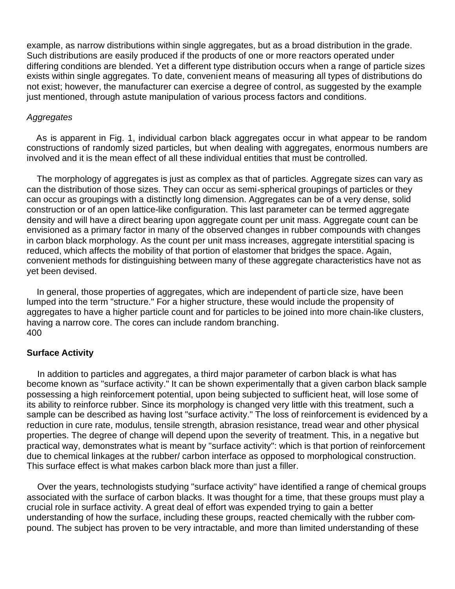example, as narrow distributions within single aggregates, but as a broad distribution in the grade. Such distributions are easily produced if the products of one or more reactors operated under differing conditions are blended. Yet a different type distribution occurs when a range of particle sizes exists within single aggregates. To date, convenient means of measuring all types of distributions do not exist; however, the manufacturer can exercise a degree of control, as suggested by the example just mentioned, through astute manipulation of various process factors and conditions.

## *Aggregates*

As is apparent in Fig. 1, individual carbon black aggregates occur in what appear to be random constructions of randomly sized particles, but when dealing with aggregates, enormous numbers are involved and it is the mean effect of all these individual entities that must be controlled.

The morphology of aggregates is just as complex as that of particles. Aggregate sizes can vary as can the distribution of those sizes. They can occur as semi-spherical groupings of particles or they can occur as groupings with a distinctly long dimension. Aggregates can be of a very dense, solid construction or of an open lattice-like configuration. This last parameter can be termed aggregate density and will have a direct bearing upon aggregate count per unit mass. Aggregate count can be envisioned as a primary factor in many of the observed changes in rubber compounds with changes in carbon black morphology. As the count per unit mass increases, aggregate interstitial spacing is reduced, which affects the mobility of that portion of elastomer that bridges the space. Again, convenient methods for distinguishing between many of these aggregate characteristics have not as yet been devised.

In general, those properties of aggregates, which are independent of parti cle size, have been lumped into the term "structure." For a higher structure, these would include the propensity of aggregates to have a higher particle count and for particles to be joined into more chain-like clusters, having a narrow core. The cores can include random branching. 400

## **Surface Activity**

In addition to particles and aggregates, a third major parameter of carbon black is what has become known as "surface activity." It can be shown experimentally that a given carbon black sample possessing a high reinforcement potential, upon being subjected to sufficient heat, will lose some of its ability to reinforce rubber. Since its morphology is changed very little with this treatment, such a sample can be described as having lost "surface activity." The loss of reinforcement is evidenced by a reduction in cure rate, modulus, tensile strength, abrasion resistance, tread wear and other physical properties. The degree of change will depend upon the severity of treatment. This, in a negative but practical way, demonstrates what is meant by "surface activity": which is that portion of reinforcement due to chemical linkages at the rubber/ carbon interface as opposed to morphological construction. This surface effect is what makes carbon black more than just a filler.

Over the years, technologists studying "surface activity" have identified a range of chemical groups associated with the surface of carbon blacks. It was thought for a time, that these groups must play a crucial role in surface activity. A great deal of effort was expended trying to gain a better understanding of how the surface, including these groups, reacted chemically with the rubber compound. The subject has proven to be very intractable, and more than limited understanding of these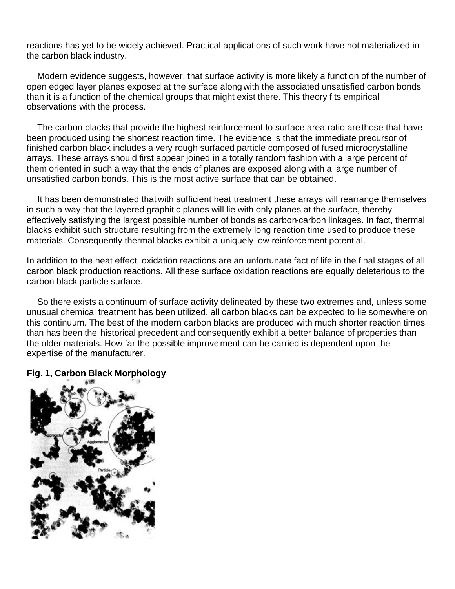reactions has yet to be widely achieved. Practical applications of such work have not materialized in the carbon black industry.

Modern evidence suggests, however, that surface activity is more likely a function of the number of open edged layer planes exposed at the surface along with the associated unsatisfied carbon bonds than it is a function of the chemical groups that might exist there. This theory fits empirical observations with the process.

The carbon blacks that provide the highest reinforcement to surface area ratio are those that have been produced using the shortest reaction time. The evidence is that the immediate precursor of finished carbon black includes a very rough surfaced particle composed of fused microcrystalline arrays. These arrays should first appear joined in a totally random fashion with a large percent of them oriented in such a way that the ends of planes are exposed along with a large number of unsatisfied carbon bonds. This is the most active surface that can be obtained.

It has been demonstrated that with sufficient heat treatment these arrays will rearrange themselves in such a way that the layered graphitic planes will lie with only planes at the surface, thereby effectively satisfying the largest possible number of bonds as carbon-carbon linkages. In fact, thermal blacks exhibit such structure resulting from the extremely long reaction time used to produce these materials. Consequently thermal blacks exhibit a uniquely low reinforcement potential.

In addition to the heat effect, oxidation reactions are an unfortunate fact of life in the final stages of all carbon black production reactions. All these surface oxidation reactions are equally deleterious to the carbon black particle surface.

So there exists a continuum of surface activity delineated by these two extremes and, unless some unusual chemical treatment has been utilized, all carbon blacks can be expected to lie somewhere on this continuum. The best of the modern carbon blacks are produced with much shorter reaction times than has been the historical precedent and consequently exhibit a better balance of properties than the older materials. How far the possible improvement can be carried is dependent upon the expertise of the manufacturer.

# **Fig. 1, Carbon Black Morphology**

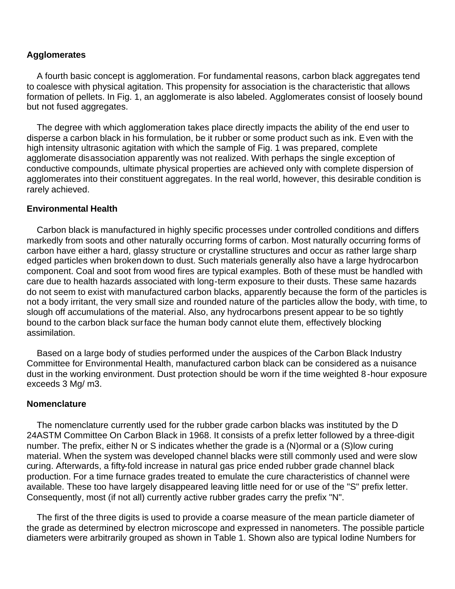# **Agglomerates**

A fourth basic concept is agglomeration. For fundamental reasons, carbon black aggregates tend to coalesce with physical agitation. This propensity for association is the characteristic that allows formation of pellets. In Fig. 1, an agglomerate is also labeled. Agglomerates consist of loosely bound but not fused aggregates.

The degree with which agglomeration takes place directly impacts the ability of the end user to disperse a carbon black in his formulation, be it rubber or some product such as ink. Even with the high intensity ultrasonic agitation with which the sample of Fig. 1 was prepared, complete agglomerate disassociation apparently was not realized. With perhaps the single exception of conductive compounds, ultimate physical properties are achieved only with complete dispersion of agglomerates into their constituent aggregates. In the real world, however, this desirable condition is rarely achieved.

## **Environmental Health**

Carbon black is manufactured in highly specific processes under controlled conditions and differs markedly from soots and other naturally occurring forms of carbon. Most naturally occurring forms of carbon have either a hard, glassy structure or crystalline structures and occur as rather large sharp edged particles when broken down to dust. Such materials generally also have a large hydrocarbon component. Coal and soot from wood fires are typical examples. Both of these must be handled with care due to health hazards associated with long-term exposure to their dusts. These same hazards do not seem to exist with manufactured carbon blacks, apparently because the form of the particles is not a body irritant, the very small size and rounded nature of the particles allow the body, with time, to slough off accumulations of the material. Also, any hydrocarbons present appear to be so tightly bound to the carbon black surface the human body cannot elute them, effectively blocking assimilation.

Based on a large body of studies performed under the auspices of the Carbon Black Industry Committee for Environmental Health, manufactured carbon black can be considered as a nuisance dust in the working environment. Dust protection should be worn if the time weighted 8-hour exposure exceeds 3 Mg/ m3.

## **Nomenclature**

The nomenclature currently used for the rubber grade carbon blacks was instituted by the D 24ASTM Committee On Carbon Black in 1968. It consists of a prefix letter followed by a three-digit number. The prefix, either N or S indicates whether the grade is a (N)ormal or a (S)low curing material. When the system was developed channel blacks were still commonly used and were slow curing. Afterwards, a fifty-fold increase in natural gas price ended rubber grade channel black production. For a time furnace grades treated to emulate the cure characteristics of channel were available. These too have largely disappeared leaving little need for or use of the "S" prefix letter. Consequently, most (if not all) currently active rubber grades carry the prefix "N".

The first of the three digits is used to provide a coarse measure of the mean particle diameter of the grade as determined by electron microscope and expressed in nanometers. The possible particle diameters were arbitrarily grouped as shown in Table 1. Shown also are typical Iodine Numbers for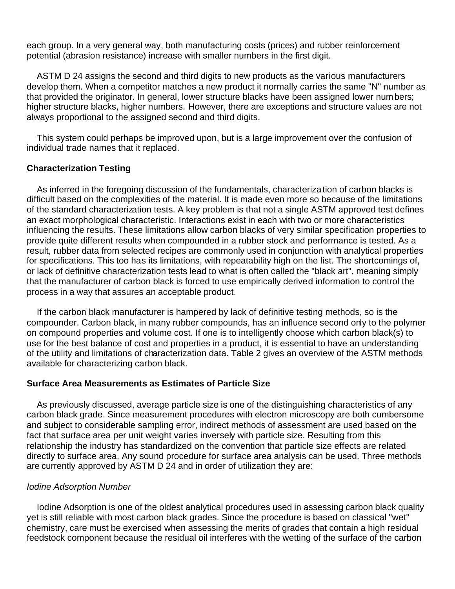each group. In a very general way, both manufacturing costs (prices) and rubber reinforcement potential (abrasion resistance) increase with smaller numbers in the first digit.

ASTM D 24 assigns the second and third digits to new products as the various manufacturers develop them. When a competitor matches a new product it normally carries the same "N" number as that provided the originator. In general, lower structure blacks have been assigned lower numbers; higher structure blacks, higher numbers. However, there are exceptions and structure values are not always proportional to the assigned second and third digits.

This system could perhaps be improved upon, but is a large improvement over the confusion of individual trade names that it replaced.

# **Characterization Testing**

As inferred in the foregoing discussion of the fundamentals, characterization of carbon blacks is difficult based on the complexities of the material. It is made even more so because of the limitations of the standard characterization tests. A key problem is that not a single ASTM approved test defines an exact morphological characteristic. Interactions exist in each with two or more characteristics influencing the results. These limitations allow carbon blacks of very similar specification properties to provide quite different results when compounded in a rubber stock and performance is tested. As a result, rubber data from selected recipes are commonly used in conjunction with analytical properties for specifications. This too has its limitations, with repeatability high on the list. The shortcomings of, or lack of definitive characterization tests lead to what is often called the "black art", meaning simply that the manufacturer of carbon black is forced to use empirically derived information to control the process in a way that assures an acceptable product.

If the carbon black manufacturer is hampered by lack of definitive testing methods, so is the compounder. Carbon black, in many rubber compounds, has an influence second only to the polymer on compound properties and volume cost. If one is to intelligently choose which carbon black(s) to use for the best balance of cost and properties in a product, it is essential to have an understanding of the utility and limitations of characterization data. Table 2 gives an overview of the ASTM methods available for characterizing carbon black.

# **Surface Area Measurements as Estimates of Particle Size**

As previously discussed, average particle size is one of the distinguishing characteristics of any carbon black grade. Since measurement procedures with electron microscopy are both cumbersome and subject to considerable sampling error, indirect methods of assessment are used based on the fact that surface area per unit weight varies inversely with particle size. Resulting from this relationship the industry has standardized on the convention that particle size effects are related directly to surface area. Any sound procedure for surface area analysis can be used. Three methods are currently approved by ASTM D 24 and in order of utilization they are:

# *Iodine Adsorption Number*

Iodine Adsorption is one of the oldest analytical procedures used in assessing carbon black quality yet is still reliable with most carbon black grades. Since the procedure is based on classical "wet" chemistry, care must be exercised when assessing the merits of grades that contain a high residual feedstock component because the residual oil interferes with the wetting of the surface of the carbon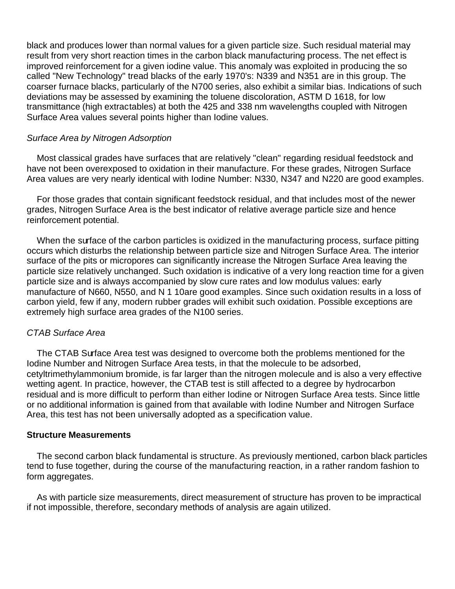black and produces lower than normal values for a given particle size. Such residual material may result from very short reaction times in the carbon black manufacturing process. The net effect is improved reinforcement for a given iodine value. This anomaly was exploited in producing the so called "New Technology" tread blacks of the early 1970's: N339 and N351 are in this group. The coarser furnace blacks, particularly of the N700 series, also exhibit a similar bias. Indications of such deviations may be assessed by examining the toluene discoloration, ASTM D 1618, for low transmittance (high extractables) at both the 425 and 338 nm wavelengths coupled with Nitrogen Surface Area values several points higher than Iodine values.

# *Surface Area by Nitrogen Adsorption*

Most classical grades have surfaces that are relatively "clean" regarding residual feedstock and have not been overexposed to oxidation in their manufacture. For these grades, Nitrogen Surface Area values are very nearly identical with Iodine Number: N330, N347 and N220 are good examples.

For those grades that contain significant feedstock residual, and that includes most of the newer grades, Nitrogen Surface Area is the best indicator of relative average particle size and hence reinforcement potential.

When the surface of the carbon particles is oxidized in the manufacturing process, surface pitting occurs which disturbs the relationship between parti cle size and Nitrogen Surface Area. The interior surface of the pits or micropores can significantly increase the Nitrogen Surface Area leaving the particle size relatively unchanged. Such oxidation is indicative of a very long reaction time for a given particle size and is always accompanied by slow cure rates and low modulus values: early manufacture of N660, N550, and N 1 10are good examples. Since such oxidation results in a loss of carbon yield, few if any, modern rubber grades will exhibit such oxidation. Possible exceptions are extremely high surface area grades of the N100 series.

# *CTAB Surface Area*

The CTAB Surface Area test was designed to overcome both the problems mentioned for the Iodine Number and Nitrogen Surface Area tests, in that the molecule to be adsorbed, cetyltrimethylammonium bromide, is far larger than the nitrogen molecule and is also a very effective wetting agent. In practice, however, the CTAB test is still affected to a degree by hydrocarbon residual and is more difficult to perform than either Iodine or Nitrogen Surface Area tests. Since little or no additional information is gained from that available with Iodine Number and Nitrogen Surface Area, this test has not been universally adopted as a specification value.

## **Structure Measurements**

The second carbon black fundamental is structure. As previously mentioned, carbon black particles tend to fuse together, during the course of the manufacturing reaction, in a rather random fashion to form aggregates.

As with particle size measurements, direct measurement of structure has proven to be impractical if not impossible, therefore, secondary methods of analysis are again utilized.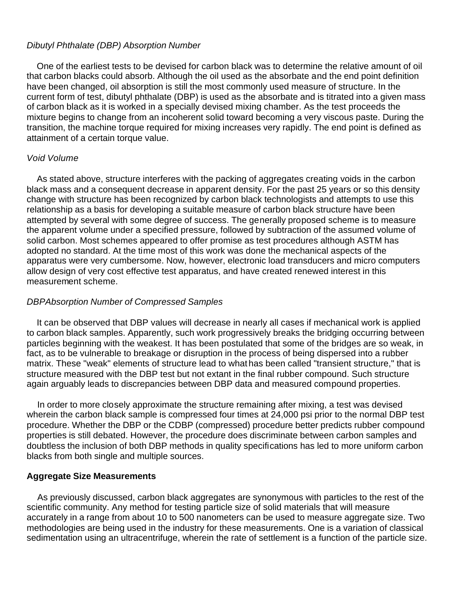# *Dibutyl Phthalate (DBP) Absorption Number*

One of the earliest tests to be devised for carbon black was to determine the relative amount of oil that carbon blacks could absorb. Although the oil used as the absorbate and the end point definition have been changed, oil absorption is still the most commonly used measure of structure. In the current form of test, dibutyl phthalate (DBP) is used as the absorbate and is titrated into a given mass of carbon black as it is worked in a specially devised mixing chamber. As the test proceeds the mixture begins to change from an incoherent solid toward becoming a very viscous paste. During the transition, the machine torque required for mixing increases very rapidly. The end point is defined as attainment of a certain torque value.

# *Void Volume*

As stated above, structure interferes with the packing of aggregates creating voids in the carbon black mass and a consequent decrease in apparent density. For the past 25 years or so this density change with structure has been recognized by carbon black technologists and attempts to use this relationship as a basis for developing a suitable measure of carbon black structure have been attempted by several with some degree of success. The generally proposed scheme is to measure the apparent volume under a specified pressure, followed by subtraction of the assumed volume of solid carbon. Most schemes appeared to offer promise as test procedures although ASTM has adopted no standard. At the time most of this work was done the mechanical aspects of the apparatus were very cumbersome. Now, however, electronic load transducers and micro computers allow design of very cost effective test apparatus, and have created renewed interest in this measurement scheme.

# *DBPAbsorption Number of Compressed Samples*

It can be observed that DBP values will decrease in nearly all cases if mechanical work is applied to carbon black samples. Apparently, such work progressively breaks the bridging occurring between particles beginning with the weakest. It has been postulated that some of the bridges are so weak, in fact, as to be vulnerable to breakage or disruption in the process of being dispersed into a rubber matrix. These "weak" elements of structure lead to what has been called "transient structure," that is structure measured with the DBP test but not extant in the final rubber compound. Such structure again arguably leads to discrepancies between DBP data and measured compound properties.

In order to more closely approximate the structure remaining after mixing, a test was devised wherein the carbon black sample is compressed four times at 24,000 psi prior to the normal DBP test procedure. Whether the DBP or the CDBP (compressed) procedure better predicts rubber compound properties is still debated. However, the procedure does discriminate between carbon samples and doubtless the inclusion of both DBP methods in quality specifications has led to more uniform carbon blacks from both single and multiple sources.

# **Aggregate Size Measurements**

As previously discussed, carbon black aggregates are synonymous with particles to the rest of the scientific community. Any method for testing particle size of solid materials that will measure accurately in a range from about 10 to 500 nanometers can be used to measure aggregate size. Two methodologies are being used in the industry for these measurements. One is a variation of classical sedimentation using an ultracentrifuge, wherein the rate of settlement is a function of the particle size.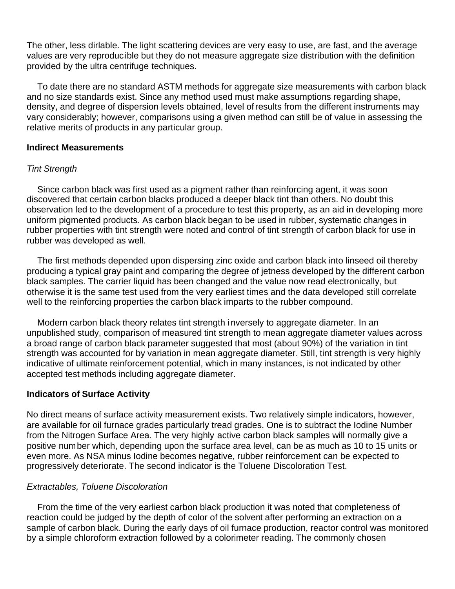The other, less dirlable. The light scattering devices are very easy to use, are fast, and the average values are very reproducible but they do not measure aggregate size distribution with the definition provided by the ultra centrifuge techniques.

To date there are no standard ASTM methods for aggregate size measurements with carbon black and no size standards exist. Since any method used must make assumptions regarding shape, density, and degree of dispersion levels obtained, level of results from the different instruments may vary considerably; however, comparisons using a given method can still be of value in assessing the relative merits of products in any particular group.

## **Indirect Measurements**

# *Tint Strength*

Since carbon black was first used as a pigment rather than reinforcing agent, it was soon discovered that certain carbon blacks produced a deeper black tint than others. No doubt this observation led to the development of a procedure to test this property, as an aid in developing more uniform pigmented products. As carbon black began to be used in rubber, systematic changes in rubber properties with tint strength were noted and control of tint strength of carbon black for use in rubber was developed as well.

The first methods depended upon dispersing zinc oxide and carbon black into linseed oil thereby producing a typical gray paint and comparing the degree of jetness developed by the different carbon black samples. The carrier liquid has been changed and the value now read electronically, but otherwise it is the same test used from the very earliest times and the data developed still correlate well to the reinforcing properties the carbon black imparts to the rubber compound.

Modern carbon black theory relates tint strength inversely to aggregate diameter. In an unpublished study, comparison of measured tint strength to mean aggregate diameter values across a broad range of carbon black parameter suggested that most (about 90%) of the variation in tint strength was accounted for by variation in mean aggregate diameter. Still, tint strength is very highly indicative of ultimate reinforcement potential, which in many instances, is not indicated by other accepted test methods including aggregate diameter.

# **Indicators of Surface Activity**

No direct means of surface activity measurement exists. Two relatively simple indicators, however, are available for oil furnace grades particularly tread grades. One is to subtract the Iodine Number from the Nitrogen Surface Area. The very highly active carbon black samples will normally give a positive number which, depending upon the surface area level, can be as much as 10 to 15 units or even more. As NSA minus Iodine becomes negative, rubber reinforcement can be expected to progressively deteriorate. The second indicator is the Toluene Discoloration Test.

# *Extractables, Toluene Discoloration*

From the time of the very earliest carbon black production it was noted that completeness of reaction could be judged by the depth of color of the solvent after performing an extraction on a sample of carbon black. During the early days of oil furnace production, reactor control was monitored by a simple chloroform extraction followed by a colorimeter reading. The commonly chosen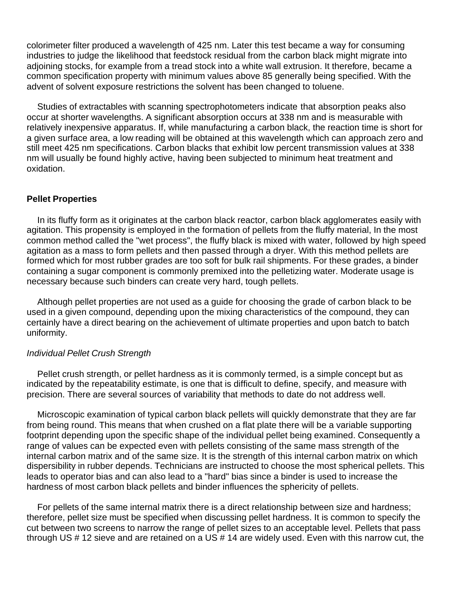colorimeter filter produced a wavelength of 425 nm. Later this test became a way for consuming industries to judge the likelihood that feedstock residual from the carbon black might migrate into adjoining stocks, for example from a tread stock into a white wall extrusion. It therefore, became a common specification property with minimum values above 85 generally being specified. With the advent of solvent exposure restrictions the solvent has been changed to toluene.

Studies of extractables with scanning spectrophotometers indicate that absorption peaks also occur at shorter wavelengths. A significant absorption occurs at 338 nm and is measurable with relatively inexpensive apparatus. If, while manufacturing a carbon black, the reaction time is short for a given surface area, a low reading will be obtained at this wavelength which can approach zero and still meet 425 nm specifications. Carbon blacks that exhibit low percent transmission values at 338 nm will usually be found highly active, having been subjected to minimum heat treatment and oxidation.

## **Pellet Properties**

In its fluffy form as it originates at the carbon black reactor, carbon black agglomerates easily with agitation. This propensity is employed in the formation of pellets from the fluffy material, In the most common method called the "wet process", the fluffy black is mixed with water, followed by high speed agitation as a mass to form pellets and then passed through a dryer. With this method pellets are formed which for most rubber grades are too soft for bulk rail shipments. For these grades, a binder containing a sugar component is commonly premixed into the pelletizing water. Moderate usage is necessary because such binders can create very hard, tough pellets.

Although pellet properties are not used as a guide for choosing the grade of carbon black to be used in a given compound, depending upon the mixing characteristics of the compound, they can certainly have a direct bearing on the achievement of ultimate properties and upon batch to batch uniformity.

## *Individual Pellet Crush Strength*

Pellet crush strength, or pellet hardness as it is commonly termed, is a simple concept but as indicated by the repeatability estimate, is one that is difficult to define, specify, and measure with precision. There are several sources of variability that methods to date do not address well.

Microscopic examination of typical carbon black pellets will quickly demonstrate that they are far from being round. This means that when crushed on a flat plate there will be a variable supporting footprint depending upon the specific shape of the individual pellet being examined. Consequently a range of values can be expected even with pellets consisting of the same mass strength of the internal carbon matrix and of the same size. It is the strength of this internal carbon matrix on which dispersibility in rubber depends. Technicians are instructed to choose the most spherical pellets. This leads to operator bias and can also lead to a "hard" bias since a binder is used to increase the hardness of most carbon black pellets and binder influences the sphericity of pellets.

For pellets of the same internal matrix there is a direct relationship between size and hardness; therefore, pellet size must be specified when discussing pellet hardness. It is common to specify the cut between two screens to narrow the range of pellet sizes to an acceptable level. Pellets that pass through US # 12 sieve and are retained on a US # 14 are widely used. Even with this narrow cut, the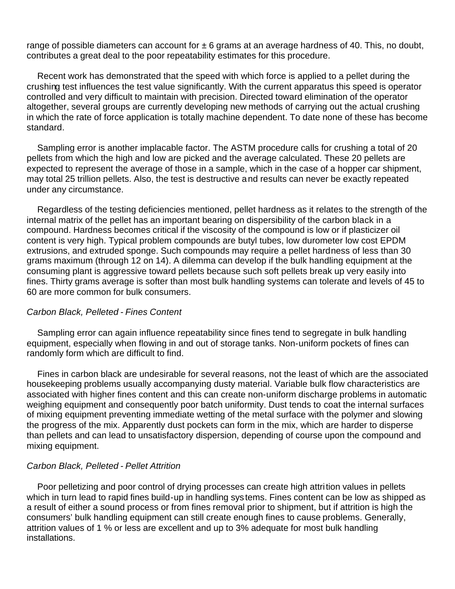range of possible diameters can account for  $\pm 6$  grams at an average hardness of 40. This, no doubt, contributes a great deal to the poor repeatability estimates for this procedure.

Recent work has demonstrated that the speed with which force is applied to a pellet during the crushing test influences the test value significantly. With the current apparatus this speed is operator controlled and very difficult to maintain with precision. Directed toward elimination of the operator altogether, several groups are currently developing new methods of carrying out the actual crushing in which the rate of force application is totally machine dependent. To date none of these has become standard.

Sampling error is another implacable factor. The ASTM procedure calls for crushing a total of 20 pellets from which the high and low are picked and the average calculated. These 20 pellets are expected to represent the average of those in a sample, which in the case of a hopper car shipment, may total 25 trillion pellets. Also, the test is destructive and results can never be exactly repeated under any circumstance.

Regardless of the testing deficiencies mentioned, pellet hardness as it relates to the strength of the internal matrix of the pellet has an important bearing on dispersibility of the carbon black in a compound. Hardness becomes critical if the viscosity of the compound is low or if plasticizer oil content is very high. Typical problem compounds are butyl tubes, low durometer low cost EPDM extrusions, and extruded sponge. Such compounds may require a pellet hardness of less than 30 grams maximum (through 12 on 14). A dilemma can develop if the bulk handling equipment at the consuming plant is aggressive toward pellets because such soft pellets break up very easily into fines. Thirty grams average is softer than most bulk handling systems can tolerate and levels of 45 to 60 are more common for bulk consumers.

## *Carbon Black, Pelleted - Fines Content*

Sampling error can again influence repeatability since fines tend to segregate in bulk handling equipment, especially when flowing in and out of storage tanks. Non-uniform pockets of fines can randomly form which are difficult to find.

Fines in carbon black are undesirable for several reasons, not the least of which are the associated housekeeping problems usually accompanying dusty material. Variable bulk flow characteristics are associated with higher fines content and this can create non-uniform discharge problems in automatic weighing equipment and consequently poor batch uniformity. Dust tends to coat the internal surfaces of mixing equipment preventing immediate wetting of the metal surface with the polymer and slowing the progress of the mix. Apparently dust pockets can form in the mix, which are harder to disperse than pellets and can lead to unsatisfactory dispersion, depending of course upon the compound and mixing equipment.

## *Carbon Black, Pelleted - Pellet Attrition*

Poor pelletizing and poor control of drying processes can create high attrition values in pellets which in turn lead to rapid fines build-up in handling systems. Fines content can be low as shipped as a result of either a sound process or from fines removal prior to shipment, but if attrition is high the consumers' bulk handling equipment can still create enough fines to cause problems. Generally, attrition values of 1 % or less are excellent and up to 3% adequate for most bulk handling installations.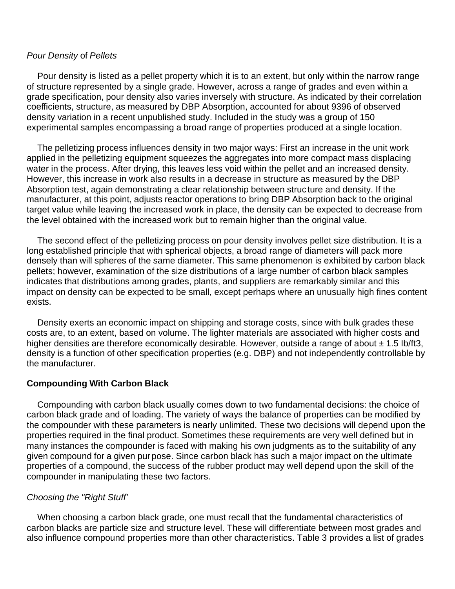## *Pour Density* of *Pellets*

Pour density is listed as a pellet property which it is to an extent, but only within the narrow range of structure represented by a single grade. However, across a range of grades and even within a grade specification, pour density also varies inversely with structure. As indicated by their correlation coefficients, structure, as measured by DBP Absorption, accounted for about 9396 of observed density variation in a recent unpublished study. Included in the study was a group of 150 experimental samples encompassing a broad range of properties produced at a single location.

The pelletizing process influences density in two major ways: First an increase in the unit work applied in the pelletizing equipment squeezes the aggregates into more compact mass displacing water in the process. After drying, this leaves less void within the pellet and an increased density. However, this increase in work also results in a decrease in structure as measured by the DBP Absorption test, again demonstrating a clear relationship between struc ture and density. If the manufacturer, at this point, adjusts reactor operations to bring DBP Absorption back to the original target value while leaving the increased work in place, the density can be expected to decrease from the level obtained with the increased work but to remain higher than the original value.

The second effect of the pelletizing process on pour density involves pellet size distribution. It is a long established principle that with spherical objects, a broad range of diameters will pack more densely than will spheres of the same diameter. This same phenomenon is exhibited by carbon black pellets; however, examination of the size distributions of a large number of carbon black samples indicates that distributions among grades, plants, and suppliers are remarkably similar and this impact on density can be expected to be small, except perhaps where an unusually high fines content exists.

Density exerts an economic impact on shipping and storage costs, since with bulk grades these costs are, to an extent, based on volume. The lighter materials are associated with higher costs and higher densities are therefore economically desirable. However, outside a range of about  $\pm$  1.5 lb/ft3, density is a function of other specification properties (e.g. DBP) and not independently controllable by the manufacturer.

# **Compounding With Carbon Black**

Compounding with carbon black usually comes down to two fundamental decisions: the choice of carbon black grade and of loading. The variety of ways the balance of properties can be modified by the compounder with these parameters is nearly unlimited. These two decisions will depend upon the properties required in the final product. Sometimes these requirements are very well defined but in many instances the compounder is faced with making his own judgments as to the suitability of any given compound for a given purpose. Since carbon black has such a major impact on the ultimate properties of a compound, the success of the rubber product may well depend upon the skill of the compounder in manipulating these two factors.

# *Choosing the "Right Stuff'*

When choosing a carbon black grade, one must recall that the fundamental characteristics of carbon blacks are particle size and structure level. These will differentiate between most grades and also influence compound properties more than other characteristics. Table 3 provides a list of grades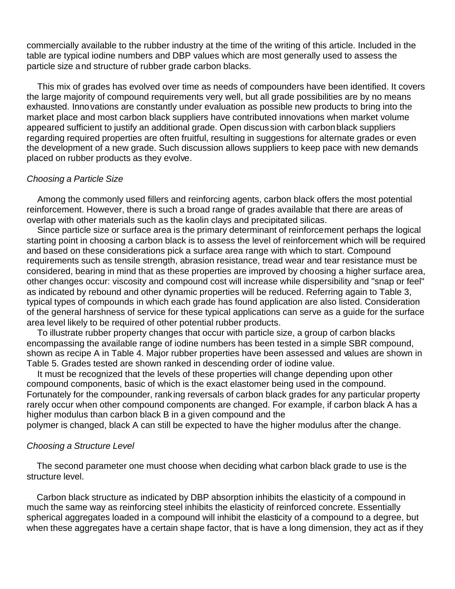commercially available to the rubber industry at the time of the writing of this article. Included in the table are typical iodine numbers and DBP values which are most generally used to assess the particle size and structure of rubber grade carbon blacks.

This mix of grades has evolved over time as needs of compounders have been identified. It covers the large majority of compound requirements very well, but all grade possibilities are by no means exhausted. Innovations are constantly under evaluation as possible new products to bring into the market place and most carbon black suppliers have contributed innovations when market volume appeared sufficient to justify an additional grade. Open discus sion with carbon black suppliers regarding required properties are often fruitful, resulting in suggestions for alternate grades or even the development of a new grade. Such discussion allows suppliers to keep pace with new demands placed on rubber products as they evolve.

## *Choosing a Particle Size*

Among the commonly used fillers and reinforcing agents, carbon black offers the most potential reinforcement. However, there is such a broad range of grades available that there are areas of overlap with other materials such as the kaolin clays and precipitated silicas.

Since particle size or surface area is the primary determinant of reinforcement perhaps the logical starting point in choosing a carbon black is to assess the level of reinforcement which will be required and based on these considerations pick a surface area range with which to start. Compound requirements such as tensile strength, abrasion resistance, tread wear and tear resistance must be considered, bearing in mind that as these properties are improved by choosing a higher surface area, other changes occur: viscosity and compound cost will increase while dispersibility and "snap or feel" as indicated by rebound and other dynamic properties will be reduced. Referring again to Table 3, typical types of compounds in which each grade has found application are also listed. Consideration of the general harshness of service for these typical applications can serve as a guide for the surface area level likely to be required of other potential rubber products.

To illustrate rubber property changes that occur with particle size, a group of carbon blacks encompassing the available range of iodine numbers has been tested in a simple SBR compound, shown as recipe A in Table 4. Major rubber properties have been assessed and values are shown in Table 5. Grades tested are shown ranked in descending order of iodine value.

It must be recognized that the levels of these properties will change depending upon other compound components, basic of which is the exact elastomer being used in the compound. Fortunately for the compounder, ranking reversals of carbon black grades for any particular property rarely occur when other compound components are changed. For example, if carbon black A has a higher modulus than carbon black B in a given compound and the

polymer is changed, black A can still be expected to have the higher modulus after the change.

## *Choosing a Structure Level*

The second parameter one must choose when deciding what carbon black grade to use is the structure level.

Carbon black structure as indicated by DBP absorption inhibits the elasticity of a compound in much the same way as reinforcing steel inhibits the elasticity of reinforced concrete. Essentially spherical aggregates loaded in a compound will inhibit the elasticity of a compound to a degree, but when these aggregates have a certain shape factor, that is have a long dimension, they act as if they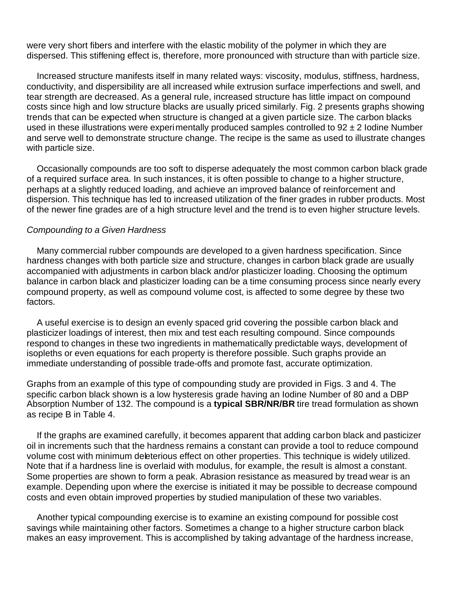were very short fibers and interfere with the elastic mobility of the polymer in which they are dispersed. This stiffening effect is, therefore, more pronounced with structure than with particle size.

Increased structure manifests itself in many related ways: viscosity, modulus, stiffness, hardness, conductivity, and dispersibility are all increased while extrusion surface imperfections and swell, and tear strength are decreased. As a general rule, increased structure has little impact on compound costs since high and low structure blacks are usually priced similarly. Fig. 2 presents graphs showing trends that can be expected when structure is changed at a given particle size. The carbon blacks used in these illustrations were experimentally produced samples controlled to  $92 \pm 2$  lodine Number and serve well to demonstrate structure change. The recipe is the same as used to illustrate changes with particle size.

Occasionally compounds are too soft to disperse adequately the most common carbon black grade of a required surface area. In such instances, it is often possible to change to a higher structure, perhaps at a slightly reduced loading, and achieve an improved balance of reinforcement and dispersion. This technique has led to increased utilization of the finer grades in rubber products. Most of the newer fine grades are of a high structure level and the trend is to even higher structure levels.

#### *Compounding to a Given Hardness*

Many commercial rubber compounds are developed to a given hardness specification. Since hardness changes with both particle size and structure, changes in carbon black grade are usually accompanied with adjustments in carbon black and/or plasticizer loading. Choosing the optimum balance in carbon black and plasticizer loading can be a time consuming process since nearly every compound property, as well as compound volume cost, is affected to some degree by these two factors.

A useful exercise is to design an evenly spaced grid covering the possible carbon black and plasticizer loadings of interest, then mix and test each resulting compound. Since compounds respond to changes in these two ingredients in mathematically predictable ways, development of isopleths or even equations for each property is therefore possible. Such graphs provide an immediate understanding of possible trade-offs and promote fast, accurate optimization.

Graphs from an example of this type of compounding study are provided in Figs. 3 and 4. The specific carbon black shown is a low hysteresis grade having an Iodine Number of 80 and a DBP Absorption Number of 132. The compound is a **typical SBR/NR/BR** tire tread formulation as shown as recipe B in Table 4.

If the graphs are examined carefully, it becomes apparent that adding carbon black and pasticizer oil in increments such that the hardness remains a constant can provide a tool to reduce compound volume cost with minimum deleterious effect on other properties. This technique is widely utilized. Note that if a hardness line is overlaid with modulus, for example, the result is almost a constant. Some properties are shown to form a peak. Abrasion resistance as measured by tread wear is an example. Depending upon where the exercise is initiated it may be possible to decrease compound costs and even obtain improved properties by studied manipulation of these two variables.

Another typical compounding exercise is to examine an existing compound for possible cost savings while maintaining other factors. Sometimes a change to a higher structure carbon black makes an easy improvement. This is accomplished by taking advantage of the hardness increase,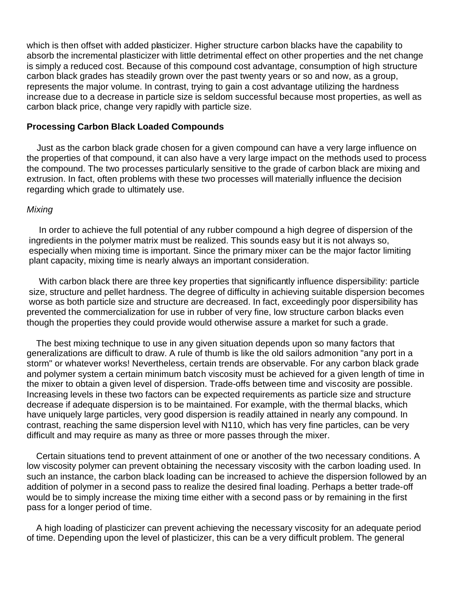which is then offset with added plasticizer. Higher structure carbon blacks have the capability to absorb the incremental plasticizer with little detrimental effect on other properties and the net change is simply a reduced cost. Because of this compound cost advantage, consumption of high structure carbon black grades has steadily grown over the past twenty years or so and now, as a group, represents the major volume. In contrast, trying to gain a cost advantage utilizing the hardness increase due to a decrease in particle size is seldom successful because most properties, as well as carbon black price, change very rapidly with particle size.

## **Processing Carbon Black Loaded Compounds**

Just as the carbon black grade chosen for a given compound can have a very large influence on the properties of that compound, it can also have a very large impact on the methods used to process the compound. The two processes particularly sensitive to the grade of carbon black are mixing and extrusion. In fact, often problems with these two processes will materially influence the decision regarding which grade to ultimately use.

## *Mixing*

In order to achieve the full potential of any rubber compound a high degree of dispersion of the ingredients in the polymer matrix must be realized. This sounds easy but it is not always so, especially when mixing time is important. Since the primary mixer can be the major factor limiting plant capacity, mixing time is nearly always an important consideration.

With carbon black there are three key properties that significantly influence dispersibility: particle size, structure and pellet hardness. The degree of difficulty in achieving suitable dispersion becomes worse as both particle size and structure are decreased. In fact, exceedingly poor dispersibility has prevented the commercialization for use in rubber of very fine, low structure carbon blacks even though the properties they could provide would otherwise assure a market for such a grade.

The best mixing technique to use in any given situation depends upon so many factors that generalizations are difficult to draw. A rule of thumb is like the old sailors admonition "any port in a storm" or whatever works! Nevertheless, certain trends are observable. For any carbon black grade and polymer system a certain minimum batch viscosity must be achieved for a given length of time in the mixer to obtain a given level of dispersion. Trade-offs between time and viscosity are possible. Increasing levels in these two factors can be expected requirements as particle size and structure decrease if adequate dispersion is to be maintained. For example, with the thermal blacks, which have uniquely large particles, very good dispersion is readily attained in nearly any compound. In contrast, reaching the same dispersion level with N110, which has very fine particles, can be very difficult and may require as many as three or more passes through the mixer.

Certain situations tend to prevent attainment of one or another of the two necessary conditions. A low viscosity polymer can prevent obtaining the necessary viscosity with the carbon loading used. In such an instance, the carbon black loading can be increased to achieve the dispersion followed by an addition of polymer in a second pass to realize the desired final loading. Perhaps a better trade-off would be to simply increase the mixing time either with a second pass or by remaining in the first pass for a longer period of time.

A high loading of plasticizer can prevent achieving the necessary viscosity for an adequate period of time. Depending upon the level of plasticizer, this can be a very difficult problem. The general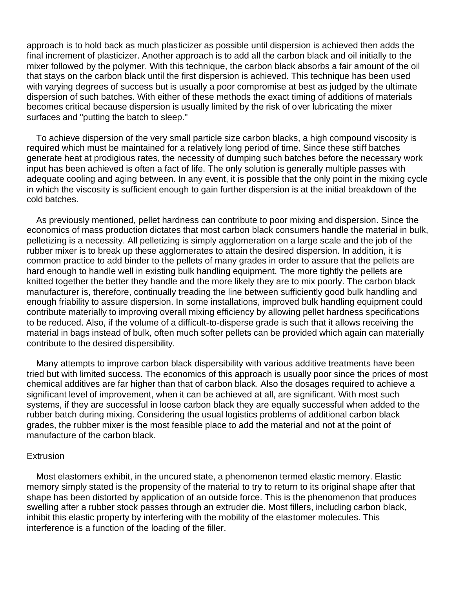approach is to hold back as much plasticizer as possible until dispersion is achieved then adds the final increment of plasticizer. Another approach is to add all the carbon black and oil initially to the mixer followed by the polymer. With this technique, the carbon black absorbs a fair amount of the oil that stays on the carbon black until the first dispersion is achieved. This technique has been used with varying degrees of success but is usually a poor compromise at best as judged by the ultimate dispersion of such batches. With either of these methods the exact timing of additions of materials becomes critical because dispersion is usually limited by the risk of over lubricating the mixer surfaces and "putting the batch to sleep."

To achieve dispersion of the very small particle size carbon blacks, a high compound viscosity is required which must be maintained for a relatively long period of time. Since these stiff batches generate heat at prodigious rates, the necessity of dumping such batches before the necessary work input has been achieved is often a fact of life. The only solution is generally multiple passes with adequate cooling and aging between. In any event, it is possible that the only point in the mixing cycle in which the viscosity is sufficient enough to gain further dispersion is at the initial breakdown of the cold batches.

As previously mentioned, pellet hardness can contribute to poor mixing and dispersion. Since the economics of mass production dictates that most carbon black consumers handle the material in bulk, pelletizing is a necessity. All pelletizing is simply agglomeration on a large scale and the job of the rubber mixer is to break up these agglomerates to attain the desired dispersion. In addition, it is common practice to add binder to the pellets of many grades in order to assure that the pellets are hard enough to handle well in existing bulk handling equipment. The more tightly the pellets are knitted together the better they handle and the more likely they are to mix poorly. The carbon black manufacturer is, therefore, continually treading the line between sufficiently good bulk handling and enough friability to assure dispersion. In some installations, improved bulk handling equipment could contribute materially to improving overall mixing efficiency by allowing pellet hardness specifications to be reduced. Also, if the volume of a difficult-to-disperse grade is such that it allows receiving the material in bags instead of bulk, often much softer pellets can be provided which again can materially contribute to the desired dispersibility.

Many attempts to improve carbon black dispersibility with various additive treatments have been tried but with limited success. The economics of this approach is usually poor since the prices of most chemical additives are far higher than that of carbon black. Also the dosages required to achieve a significant level of improvement, when it can be achieved at all, are significant. With most such systems, if they are successful in loose carbon black they are equally successful when added to the rubber batch during mixing. Considering the usual logistics problems of additional carbon black grades, the rubber mixer is the most feasible place to add the material and not at the point of manufacture of the carbon black.

#### **Extrusion**

Most elastomers exhibit, in the uncured state, a phenomenon termed elastic memory. Elastic memory simply stated is the propensity of the material to try to return to its original shape after that shape has been distorted by application of an outside force. This is the phenomenon that produces swelling after a rubber stock passes through an extruder die. Most fillers, including carbon black, inhibit this elastic property by interfering with the mobility of the elastomer molecules. This interference is a function of the loading of the filler.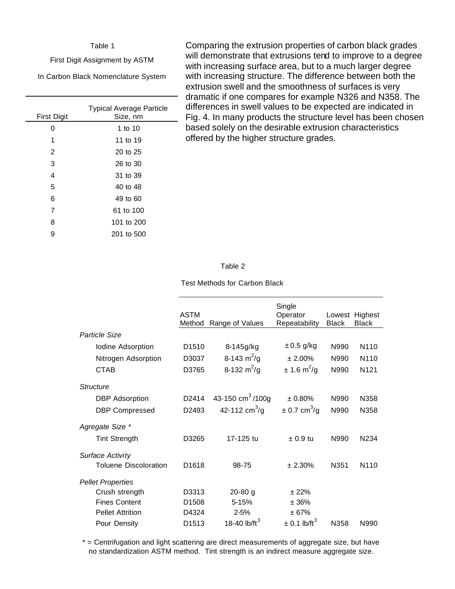#### Table 1

First Digit Assignment by ASTM

In Carbon Black Nomenclature System

| <b>First Digit</b> | <b>Typical Average Particle</b><br>Size, nm |
|--------------------|---------------------------------------------|
| Ω                  | 1 to 10                                     |
| 1                  | 11 to 19                                    |
| 2                  | 20 to 25                                    |
| 3                  | 26 to 30                                    |
| 4                  | 31 to 39                                    |
| 5                  | 40 to 48                                    |
| 6                  | 49 to 60                                    |
| 7                  | 61 to 100                                   |
| 8                  | 101 to 200                                  |
| 9                  | 201 to 500                                  |

Comparing the extrusion properties of carbon black grades will demonstrate that extrusions tend to improve to a degree with increasing surface area, but to a much larger degree with increasing structure. The difference between both the extrusion swell and the smoothness of surfaces is very dramatic if one compares for example N326 and N358. The differences in swell values to be expected are indicated in Fig. 4. In many products the structure level has been chosen based solely on the desirable extrusion characteristics offered by the higher structure grades.

#### Table 2

Test Methods for Carbon Black

|                              | <b>ASTM</b><br>Method | Range of Values               | Single<br>Operator<br>Repeatability | Lowest<br><b>Black</b> | Highest<br><b>Black</b> |
|------------------------------|-----------------------|-------------------------------|-------------------------------------|------------------------|-------------------------|
| Particle Size                |                       |                               |                                     |                        |                         |
| Iodine Adsorption            | D <sub>1510</sub>     | 8-145g/kg                     | $\pm$ 0.5 g/kg                      | N990                   | N <sub>110</sub>        |
| Nitrogen Adsorption          | D3037                 | 8-143 $m^2/g$                 | $± 2.00\%$                          | N990                   | N <sub>110</sub>        |
| <b>CTAB</b>                  | D3765                 | 8-132 $m^2$ /g                | ± 1.6 m <sup>2</sup> /g             | N990                   | N <sub>121</sub>        |
| <b>Structure</b>             |                       |                               |                                     |                        |                         |
| <b>DBP</b> Adsorption        | D <sub>2414</sub>     | 43-150 cm <sup>3</sup> /100g  | ± 0.80%                             | N990                   | N358                    |
| <b>DBP Compressed</b>        | D2493                 | 42-112 $\text{cm}^3/\text{g}$ | $\pm$ 0.7 cm <sup>3</sup> /g        | N990                   | N358                    |
| Agregate Size *              |                       |                               |                                     |                        |                         |
| <b>Tint Strength</b>         | D3265                 | 17-125 tu                     | $\pm 0.9$ tu                        | N990                   | N <sub>2</sub> 34       |
| Surface Activity             |                       |                               |                                     |                        |                         |
| <b>Toluene Discoloration</b> | D <sub>1618</sub>     | $98 - 75$                     | ± 2.30%                             | N <sub>351</sub>       | N <sub>110</sub>        |
| <b>Pellet Properties</b>     |                       |                               |                                     |                        |                         |
| Crush strength               | D3313                 | $20-80$ g                     | ± 22%                               |                        |                         |
| <b>Fines Content</b>         | D <sub>1508</sub>     | $5 - 15%$                     | ± 36%                               |                        |                         |
| <b>Pellet Attrition</b>      | D4324                 | $2 - 5%$                      | ± 67%                               |                        |                         |
| Pour Density                 | D <sub>1513</sub>     | 18-40 $lb$ /ft <sup>3</sup>   | $\pm$ 0.1 lb/ft <sup>3</sup>        | N358                   | N990                    |

\* = Centrifugation and light scattering are direct measurements of aggregate size, but have no standardization ASTM method. Tint strength is an indirect measure aggregate size.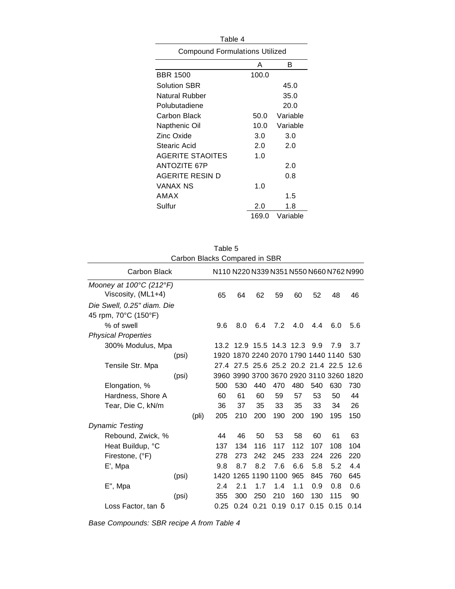| Table 4                               |       |          |  |  |  |
|---------------------------------------|-------|----------|--|--|--|
| <b>Compound Formulations Utilized</b> |       |          |  |  |  |
|                                       | А     | R        |  |  |  |
| <b>BBR 1500</b>                       | 100.0 |          |  |  |  |
| Solution SBR                          |       | 45.0     |  |  |  |
| Natural Rubber                        |       | 35.0     |  |  |  |
| Polubutadiene                         |       | 20.0     |  |  |  |
| Carbon Black                          | 50.0  | Variable |  |  |  |
| Napthenic Oil                         | 10.0  | Variable |  |  |  |
| Zinc Oxide                            | 3.0   | 3.0      |  |  |  |
| Stearic Acid                          | 2.0   | 2.0      |  |  |  |
| <b>AGERITE STAOITES</b>               | 1.0   |          |  |  |  |
| <b>ANTOZITE 67P</b>                   |       | 2.0      |  |  |  |
| AGERITE RESIN D                       |       | 0.8      |  |  |  |
| VANAX NS                              | 1.0   |          |  |  |  |
| AMAX                                  |       | 1.5      |  |  |  |
| Sulfur                                | 2.0   | 1.8      |  |  |  |
|                                       | 169.0 | Variable |  |  |  |

| Carbon Blacks Compared in SBR                |      |                                         |                               |      |      |      |      |      |
|----------------------------------------------|------|-----------------------------------------|-------------------------------|------|------|------|------|------|
| <b>Carbon Black</b>                          |      | N110 N220 N339 N351 N550 N660 N762 N990 |                               |      |      |      |      |      |
| Mooney at $100^{\circ}$ C (212 $^{\circ}$ F) |      |                                         |                               |      |      |      |      |      |
| Viscosity, (ML1+4)                           | 65   | 64                                      | 62                            | 59   | 60   | 52   | 48   | 46   |
| Die Swell, 0.25" diam. Die                   |      |                                         |                               |      |      |      |      |      |
| 45 rpm, 70°C (150°F)                         |      |                                         |                               |      |      |      |      |      |
| % of swell                                   | 9.6  | 8.0                                     | 6.4                           | 7.2  | 4.0  | 4.4  | 6.0  | 5.6  |
| <b>Physical Properties</b>                   |      |                                         |                               |      |      |      |      |      |
| 300% Modulus, Mpa                            |      | 13.2 12.9 15.5 14.3 12.3                |                               |      |      | 9.9  | 7.9  | 3.7  |
| (psi)                                        |      | 1920 1870 2240 2070 1790 1440 1140      |                               |      |      |      |      | 530  |
| Tensile Str. Mpa                             | 27.4 |                                         | 27.5 25.6 25.2 20.2 21.4 22.5 |      |      |      |      | 12.6 |
| (psi)                                        |      | 3960 3990 3700 3670 2920 3110 3260      |                               |      |      |      |      | 1820 |
| Elongation, %                                | 500  | 530                                     | 440                           | 470  | 480  | 540  | 630  | 730  |
| Hardness, Shore A                            | 60   | 61                                      | 60                            | 59   | 57   | 53   | 50   | 44   |
| Tear, Die C, kN/m                            | 36   | 37                                      | 35                            | 33   | 35   | 33   | 34   | 26   |
| (pli)                                        | 205  | 210                                     | 200                           | 190  | 200  | 190  | 195  | 150  |
| <b>Dynamic Testing</b>                       |      |                                         |                               |      |      |      |      |      |
| Rebound, Zwick, %                            | 44   | 46                                      | 50                            | 53   | 58   | 60   | 61   | 63   |
| Heat Buildup, °C                             | 137  | 134                                     | 116                           | 117  | 112  | 107  | 108  | 104  |
| Firestone, (°F)                              | 278  | 273                                     | 242                           | 245  | 233  | 224  | 226  | 220  |
| E', Mpa                                      | 9.8  | 8.7                                     | 8.2                           | 7.6  | 6.6  | 5.8  | 5.2  | 4.4  |
| (psi)                                        | 1420 |                                         | 1265 1190 1100                |      | 965  | 845  | 760  | 645  |
| E", Mpa                                      | 2.4  | 2.1                                     | 1.7                           | 1.4  | 1.1  | 0.9  | 0.8  | 0.6  |
| (psi)                                        | 355  | 300                                     | 250                           | 210  | 160  | 130  | 115  | 90   |
| Loss Factor, tan $\delta$                    | 0.25 | 0.24                                    | 0.21                          | 0.19 | 0.17 | 0.15 | 0.15 | 0.14 |

Table 5

*Base Compounds: SBR recipe A from Table 4*